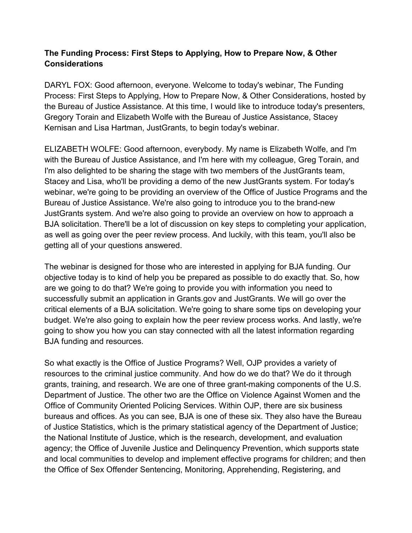## **The Funding Process: First Steps to Applying, How to Prepare Now, & Other Considerations**

DARYL FOX: Good afternoon, everyone. Welcome to today's webinar, The Funding Process: First Steps to Applying, How to Prepare Now, & Other Considerations, hosted by the Bureau of Justice Assistance. At this time, I would like to introduce today's presenters, Gregory Torain and Elizabeth Wolfe with the Bureau of Justice Assistance, Stacey Kernisan and Lisa Hartman, JustGrants, to begin today's webinar.

ELIZABETH WOLFE: Good afternoon, everybody. My name is Elizabeth Wolfe, and I'm with the Bureau of Justice Assistance, and I'm here with my colleague, Greg Torain, and I'm also delighted to be sharing the stage with two members of the JustGrants team, Stacey and Lisa, who'll be providing a demo of the new JustGrants system. For today's webinar, we're going to be providing an overview of the Office of Justice Programs and the Bureau of Justice Assistance. We're also going to introduce you to the brand-new JustGrants system. And we're also going to provide an overview on how to approach a BJA solicitation. There'll be a lot of discussion on key steps to completing your application, as well as going over the peer review process. And luckily, with this team, you'll also be getting all of your questions answered.

The webinar is designed for those who are interested in applying for BJA funding. Our objective today is to kind of help you be prepared as possible to do exactly that. So, how are we going to do that? We're going to provide you with information you need to successfully submit an application in Grants.gov and JustGrants. We will go over the critical elements of a BJA solicitation. We're going to share some tips on developing your budget. We're also going to explain how the peer review process works. And lastly, we're going to show you how you can stay connected with all the latest information regarding BJA funding and resources.

So what exactly is the Office of Justice Programs? Well, OJP provides a variety of resources to the criminal justice community. And how do we do that? We do it through grants, training, and research. We are one of three grant-making components of the U.S. Department of Justice. The other two are the Office on Violence Against Women and the Office of Community Oriented Policing Services. Within OJP, there are six business bureaus and offices. As you can see, BJA is one of these six. They also have the Bureau of Justice Statistics, which is the primary statistical agency of the Department of Justice; the National Institute of Justice, which is the research, development, and evaluation agency; the Office of Juvenile Justice and Delinquency Prevention, which supports state and local communities to develop and implement effective programs for children; and then the Office of Sex Offender Sentencing, Monitoring, Apprehending, Registering, and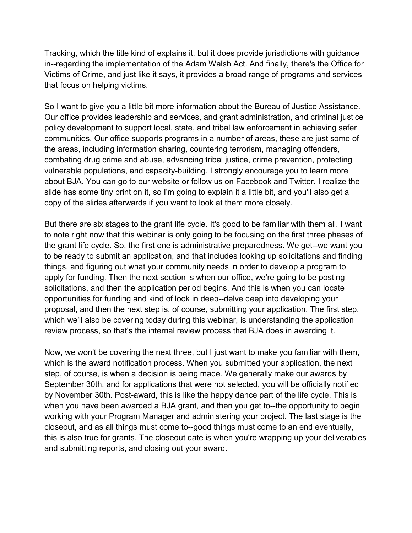Tracking, which the title kind of explains it, but it does provide jurisdictions with guidance in--regarding the implementation of the Adam Walsh Act. And finally, there's the Office for Victims of Crime, and just like it says, it provides a broad range of programs and services that focus on helping victims.

So I want to give you a little bit more information about the Bureau of Justice Assistance. Our office provides leadership and services, and grant administration, and criminal justice policy development to support local, state, and tribal law enforcement in achieving safer communities. Our office supports programs in a number of areas, these are just some of the areas, including information sharing, countering terrorism, managing offenders, combating drug crime and abuse, advancing tribal justice, crime prevention, protecting vulnerable populations, and capacity-building. I strongly encourage you to learn more about BJA. You can go to our website or follow us on Facebook and Twitter. I realize the slide has some tiny print on it, so I'm going to explain it a little bit, and you'll also get a copy of the slides afterwards if you want to look at them more closely.

But there are six stages to the grant life cycle. It's good to be familiar with them all. I want to note right now that this webinar is only going to be focusing on the first three phases of the grant life cycle. So, the first one is administrative preparedness. We get--we want you to be ready to submit an application, and that includes looking up solicitations and finding things, and figuring out what your community needs in order to develop a program to apply for funding. Then the next section is when our office, we're going to be posting solicitations, and then the application period begins. And this is when you can locate opportunities for funding and kind of look in deep--delve deep into developing your proposal, and then the next step is, of course, submitting your application. The first step, which we'll also be covering today during this webinar, is understanding the application review process, so that's the internal review process that BJA does in awarding it.

Now, we won't be covering the next three, but I just want to make you familiar with them, which is the award notification process. When you submitted your application, the next step, of course, is when a decision is being made. We generally make our awards by September 30th, and for applications that were not selected, you will be officially notified by November 30th. Post-award, this is like the happy dance part of the life cycle. This is when you have been awarded a BJA grant, and then you get to--the opportunity to begin working with your Program Manager and administering your project. The last stage is the closeout, and as all things must come to--good things must come to an end eventually, this is also true for grants. The closeout date is when you're wrapping up your deliverables and submitting reports, and closing out your award.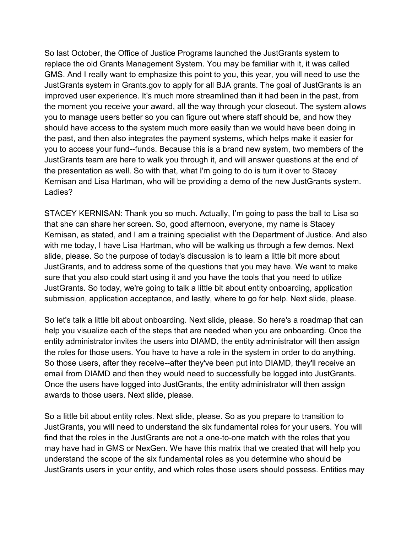So last October, the Office of Justice Programs launched the JustGrants system to replace the old Grants Management System. You may be familiar with it, it was called GMS. And I really want to emphasize this point to you, this year, you will need to use the JustGrants system in Grants.gov to apply for all BJA grants. The goal of JustGrants is an improved user experience. It's much more streamlined than it had been in the past, from the moment you receive your award, all the way through your closeout. The system allows you to manage users better so you can figure out where staff should be, and how they should have access to the system much more easily than we would have been doing in the past, and then also integrates the payment systems, which helps make it easier for you to access your fund--funds. Because this is a brand new system, two members of the JustGrants team are here to walk you through it, and will answer questions at the end of the presentation as well. So with that, what I'm going to do is turn it over to Stacey Kernisan and Lisa Hartman, who will be providing a demo of the new JustGrants system. Ladies?

STACEY KERNISAN: Thank you so much. Actually, I'm going to pass the ball to Lisa so that she can share her screen. So, good afternoon, everyone, my name is Stacey Kernisan, as stated, and I am a training specialist with the Department of Justice. And also with me today, I have Lisa Hartman, who will be walking us through a few demos. Next slide, please. So the purpose of today's discussion is to learn a little bit more about JustGrants, and to address some of the questions that you may have. We want to make sure that you also could start using it and you have the tools that you need to utilize JustGrants. So today, we're going to talk a little bit about entity onboarding, application submission, application acceptance, and lastly, where to go for help. Next slide, please.

So let's talk a little bit about onboarding. Next slide, please. So here's a roadmap that can help you visualize each of the steps that are needed when you are onboarding. Once the entity administrator invites the users into DIAMD, the entity administrator will then assign the roles for those users. You have to have a role in the system in order to do anything. So those users, after they receive--after they've been put into DIAMD, they'll receive an email from DIAMD and then they would need to successfully be logged into JustGrants. Once the users have logged into JustGrants, the entity administrator will then assign awards to those users. Next slide, please.

So a little bit about entity roles. Next slide, please. So as you prepare to transition to JustGrants, you will need to understand the six fundamental roles for your users. You will find that the roles in the JustGrants are not a one-to-one match with the roles that you may have had in GMS or NexGen. We have this matrix that we created that will help you understand the scope of the six fundamental roles as you determine who should be JustGrants users in your entity, and which roles those users should possess. Entities may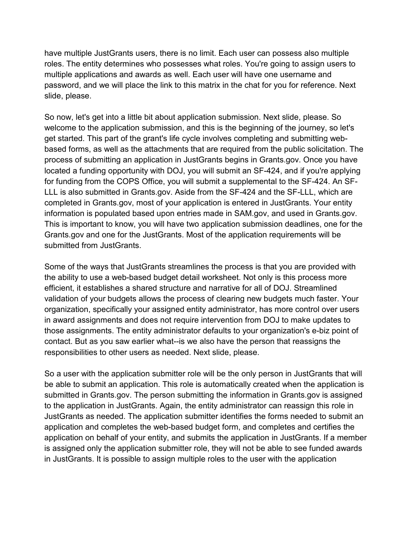have multiple JustGrants users, there is no limit. Each user can possess also multiple roles. The entity determines who possesses what roles. You're going to assign users to multiple applications and awards as well. Each user will have one username and password, and we will place the link to this matrix in the chat for you for reference. Next slide, please.

So now, let's get into a little bit about application submission. Next slide, please. So welcome to the application submission, and this is the beginning of the journey, so let's get started. This part of the grant's life cycle involves completing and submitting webbased forms, as well as the attachments that are required from the public solicitation. The process of submitting an application in JustGrants begins in Grants.gov. Once you have located a funding opportunity with DOJ, you will submit an SF-424, and if you're applying for funding from the COPS Office, you will submit a supplemental to the SF-424. An SF-LLL is also submitted in Grants.gov. Aside from the SF-424 and the SF-LLL, which are completed in Grants.gov, most of your application is entered in JustGrants. Your entity information is populated based upon entries made in SAM.gov, and used in Grants.gov. This is important to know, you will have two application submission deadlines, one for the Grants.gov and one for the JustGrants. Most of the application requirements will be submitted from JustGrants.

Some of the ways that JustGrants streamlines the process is that you are provided with the ability to use a web-based budget detail worksheet. Not only is this process more efficient, it establishes a shared structure and narrative for all of DOJ. Streamlined validation of your budgets allows the process of clearing new budgets much faster. Your organization, specifically your assigned entity administrator, has more control over users in award assignments and does not require intervention from DOJ to make updates to those assignments. The entity administrator defaults to your organization's e-biz point of contact. But as you saw earlier what--is we also have the person that reassigns the responsibilities to other users as needed. Next slide, please.

So a user with the application submitter role will be the only person in JustGrants that will be able to submit an application. This role is automatically created when the application is submitted in Grants.gov. The person submitting the information in Grants.gov is assigned to the application in JustGrants. Again, the entity administrator can reassign this role in JustGrants as needed. The application submitter identifies the forms needed to submit an application and completes the web-based budget form, and completes and certifies the application on behalf of your entity, and submits the application in JustGrants. If a member is assigned only the application submitter role, they will not be able to see funded awards in JustGrants. It is possible to assign multiple roles to the user with the application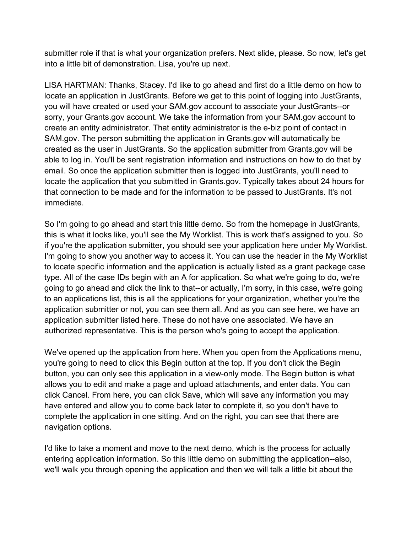submitter role if that is what your organization prefers. Next slide, please. So now, let's get into a little bit of demonstration. Lisa, you're up next.

LISA HARTMAN: Thanks, Stacey. I'd like to go ahead and first do a little demo on how to locate an application in JustGrants. Before we get to this point of logging into JustGrants, you will have created or used your SAM.gov account to associate your JustGrants--or sorry, your Grants.gov account. We take the information from your SAM.gov account to create an entity administrator. That entity administrator is the e-biz point of contact in SAM.gov. The person submitting the application in Grants.gov will automatically be created as the user in JustGrants. So the application submitter from Grants.gov will be able to log in. You'll be sent registration information and instructions on how to do that by email. So once the application submitter then is logged into JustGrants, you'll need to locate the application that you submitted in Grants.gov. Typically takes about 24 hours for that connection to be made and for the information to be passed to JustGrants. It's not immediate.

So I'm going to go ahead and start this little demo. So from the homepage in JustGrants, this is what it looks like, you'll see the My Worklist. This is work that's assigned to you. So if you're the application submitter, you should see your application here under My Worklist. I'm going to show you another way to access it. You can use the header in the My Worklist to locate specific information and the application is actually listed as a grant package case type. All of the case IDs begin with an A for application. So what we're going to do, we're going to go ahead and click the link to that--or actually, I'm sorry, in this case, we're going to an applications list, this is all the applications for your organization, whether you're the application submitter or not, you can see them all. And as you can see here, we have an application submitter listed here. These do not have one associated. We have an authorized representative. This is the person who's going to accept the application.

We've opened up the application from here. When you open from the Applications menu, you're going to need to click this Begin button at the top. If you don't click the Begin button, you can only see this application in a view-only mode. The Begin button is what allows you to edit and make a page and upload attachments, and enter data. You can click Cancel. From here, you can click Save, which will save any information you may have entered and allow you to come back later to complete it, so you don't have to complete the application in one sitting. And on the right, you can see that there are navigation options.

I'd like to take a moment and move to the next demo, which is the process for actually entering application information. So this little demo on submitting the application--also, we'll walk you through opening the application and then we will talk a little bit about the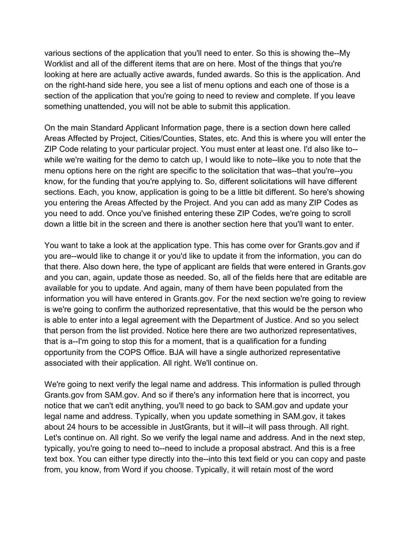various sections of the application that you'll need to enter. So this is showing the--My Worklist and all of the different items that are on here. Most of the things that you're looking at here are actually active awards, funded awards. So this is the application. And on the right-hand side here, you see a list of menu options and each one of those is a section of the application that you're going to need to review and complete. If you leave something unattended, you will not be able to submit this application.

On the main Standard Applicant Information page, there is a section down here called Areas Affected by Project, Cities/Counties, States, etc. And this is where you will enter the ZIP Code relating to your particular project. You must enter at least one. I'd also like to- while we're waiting for the demo to catch up, I would like to note--like you to note that the menu options here on the right are specific to the solicitation that was--that you're--you know, for the funding that you're applying to. So, different solicitations will have different sections. Each, you know, application is going to be a little bit different. So here's showing you entering the Areas Affected by the Project. And you can add as many ZIP Codes as you need to add. Once you've finished entering these ZIP Codes, we're going to scroll down a little bit in the screen and there is another section here that you'll want to enter.

You want to take a look at the application type. This has come over for Grants.gov and if you are--would like to change it or you'd like to update it from the information, you can do that there. Also down here, the type of applicant are fields that were entered in Grants.gov and you can, again, update those as needed. So, all of the fields here that are editable are available for you to update. And again, many of them have been populated from the information you will have entered in Grants.gov. For the next section we're going to review is we're going to confirm the authorized representative, that this would be the person who is able to enter into a legal agreement with the Department of Justice. And so you select that person from the list provided. Notice here there are two authorized representatives, that is a--I'm going to stop this for a moment, that is a qualification for a funding opportunity from the COPS Office. BJA will have a single authorized representative associated with their application. All right. We'll continue on.

We're going to next verify the legal name and address. This information is pulled through Grants.gov from SAM.gov. And so if there's any information here that is incorrect, you notice that we can't edit anything, you'll need to go back to SAM.gov and update your legal name and address. Typically, when you update something in SAM.gov, it takes about 24 hours to be accessible in JustGrants, but it will--it will pass through. All right. Let's continue on. All right. So we verify the legal name and address. And in the next step, typically, you're going to need to--need to include a proposal abstract. And this is a free text box. You can either type directly into the--into this text field or you can copy and paste from, you know, from Word if you choose. Typically, it will retain most of the word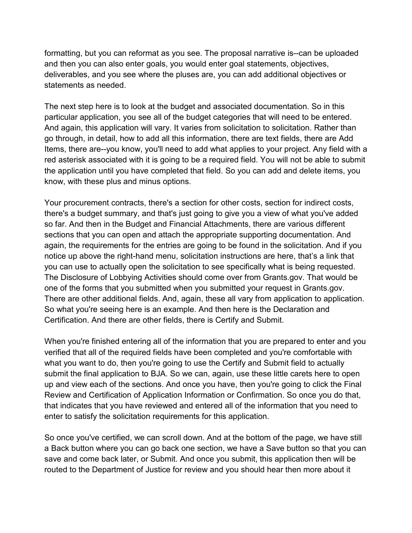formatting, but you can reformat as you see. The proposal narrative is--can be uploaded and then you can also enter goals, you would enter goal statements, objectives, deliverables, and you see where the pluses are, you can add additional objectives or statements as needed.

The next step here is to look at the budget and associated documentation. So in this particular application, you see all of the budget categories that will need to be entered. And again, this application will vary. It varies from solicitation to solicitation. Rather than go through, in detail, how to add all this information, there are text fields, there are Add Items, there are--you know, you'll need to add what applies to your project. Any field with a red asterisk associated with it is going to be a required field. You will not be able to submit the application until you have completed that field. So you can add and delete items, you know, with these plus and minus options.

Your procurement contracts, there's a section for other costs, section for indirect costs, there's a budget summary, and that's just going to give you a view of what you've added so far. And then in the Budget and Financial Attachments, there are various different sections that you can open and attach the appropriate supporting documentation. And again, the requirements for the entries are going to be found in the solicitation. And if you notice up above the right-hand menu, solicitation instructions are here, that's a link that you can use to actually open the solicitation to see specifically what is being requested. The Disclosure of Lobbying Activities should come over from Grants.gov. That would be one of the forms that you submitted when you submitted your request in Grants.gov. There are other additional fields. And, again, these all vary from application to application. So what you're seeing here is an example. And then here is the Declaration and Certification. And there are other fields, there is Certify and Submit.

When you're finished entering all of the information that you are prepared to enter and you verified that all of the required fields have been completed and you're comfortable with what you want to do, then you're going to use the Certify and Submit field to actually submit the final application to BJA. So we can, again, use these little carets here to open up and view each of the sections. And once you have, then you're going to click the Final Review and Certification of Application Information or Confirmation. So once you do that, that indicates that you have reviewed and entered all of the information that you need to enter to satisfy the solicitation requirements for this application.

So once you've certified, we can scroll down. And at the bottom of the page, we have still a Back button where you can go back one section, we have a Save button so that you can save and come back later, or Submit. And once you submit, this application then will be routed to the Department of Justice for review and you should hear then more about it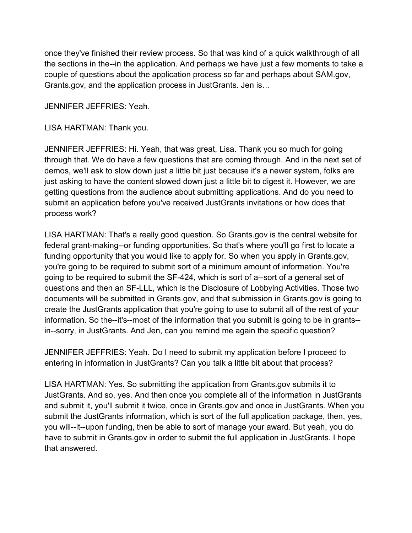once they've finished their review process. So that was kind of a quick walkthrough of all the sections in the--in the application. And perhaps we have just a few moments to take a couple of questions about the application process so far and perhaps about SAM.gov, Grants.gov, and the application process in JustGrants. Jen is…

JENNIFER JEFFRIES: Yeah.

LISA HARTMAN: Thank you.

JENNIFER JEFFRIES: Hi. Yeah, that was great, Lisa. Thank you so much for going through that. We do have a few questions that are coming through. And in the next set of demos, we'll ask to slow down just a little bit just because it's a newer system, folks are just asking to have the content slowed down just a little bit to digest it. However, we are getting questions from the audience about submitting applications. And do you need to submit an application before you've received JustGrants invitations or how does that process work?

LISA HARTMAN: That's a really good question. So Grants.gov is the central website for federal grant-making--or funding opportunities. So that's where you'll go first to locate a funding opportunity that you would like to apply for. So when you apply in Grants.gov, you're going to be required to submit sort of a minimum amount of information. You're going to be required to submit the SF-424, which is sort of a--sort of a general set of questions and then an SF-LLL, which is the Disclosure of Lobbying Activities. Those two documents will be submitted in Grants.gov, and that submission in Grants.gov is going to create the JustGrants application that you're going to use to submit all of the rest of your information. So the--it's--most of the information that you submit is going to be in grants- in--sorry, in JustGrants. And Jen, can you remind me again the specific question?

JENNIFER JEFFRIES: Yeah. Do I need to submit my application before I proceed to entering in information in JustGrants? Can you talk a little bit about that process?

LISA HARTMAN: Yes. So submitting the application from Grants.gov submits it to JustGrants. And so, yes. And then once you complete all of the information in JustGrants and submit it, you'll submit it twice, once in Grants.gov and once in JustGrants. When you submit the JustGrants information, which is sort of the full application package, then, yes, you will--it--upon funding, then be able to sort of manage your award. But yeah, you do have to submit in Grants.gov in order to submit the full application in JustGrants. I hope that answered.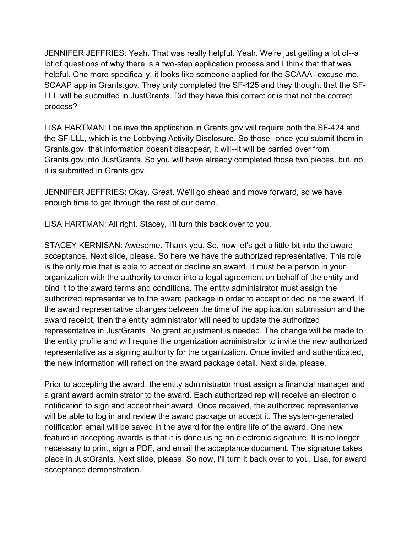JENNIFER JEFFRIES: Yeah. That was really helpful. Yeah. We're just getting a lot of--a lot of questions of why there is a two-step application process and I think that that was helpful. One more specifically, it looks like someone applied for the SCAAA--excuse me, SCAAP app in Grants.gov. They only completed the SF-425 and they thought that the SF-LLL will be submitted in JustGrants. Did they have this correct or is that not the correct process?

LISA HARTMAN: I believe the application in Grants.gov will require both the SF-424 and the SF-LLL, which is the Lobbying Activity Disclosure. So those--once you submit them in Grants.gov, that information doesn't disappear, it will--it will be carried over from Grants.gov into JustGrants. So you will have already completed those two pieces, but, no, it is submitted in Grants.gov.

JENNIFER JEFFRIES: Okay. Great. We'll go ahead and move forward, so we have enough time to get through the rest of our demo.

LISA HARTMAN: All right. Stacey, I'll turn this back over to you.

STACEY KERNISAN: Awesome. Thank you. So, now let's get a little bit into the award acceptance. Next slide, please. So here we have the authorized representative. This role is the only role that is able to accept or decline an award. It must be a person in your organization with the authority to enter into a legal agreement on behalf of the entity and bind it to the award terms and conditions. The entity administrator must assign the authorized representative to the award package in order to accept or decline the award. If the award representative changes between the time of the application submission and the award receipt, then the entity administrator will need to update the authorized representative in JustGrants. No grant adjustment is needed. The change will be made to the entity profile and will require the organization administrator to invite the new authorized representative as a signing authority for the organization. Once invited and authenticated, the new information will reflect on the award package detail. Next slide, please.

Prior to accepting the award, the entity administrator must assign a financial manager and a grant award administrator to the award. Each authorized rep will receive an electronic notification to sign and accept their award. Once received, the authorized representative will be able to log in and review the award package or accept it. The system-generated notification email will be saved in the award for the entire life of the award. One new feature in accepting awards is that it is done using an electronic signature. It is no longer necessary to print, sign a PDF, and email the acceptance document. The signature takes place in JustGrants. Next slide, please. So now, I'll turn it back over to you, Lisa, for award acceptance demonstration.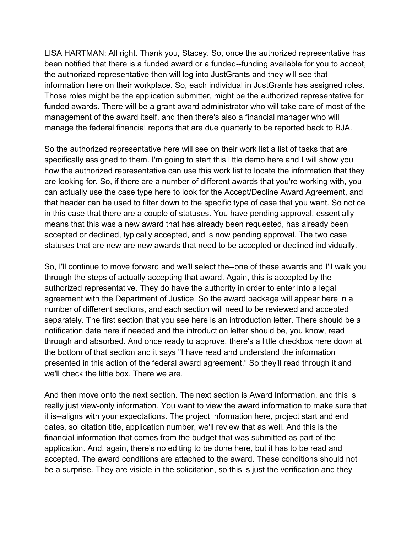LISA HARTMAN: All right. Thank you, Stacey. So, once the authorized representative has been notified that there is a funded award or a funded--funding available for you to accept, the authorized representative then will log into JustGrants and they will see that information here on their workplace. So, each individual in JustGrants has assigned roles. Those roles might be the application submitter, might be the authorized representative for funded awards. There will be a grant award administrator who will take care of most of the management of the award itself, and then there's also a financial manager who will manage the federal financial reports that are due quarterly to be reported back to BJA.

So the authorized representative here will see on their work list a list of tasks that are specifically assigned to them. I'm going to start this little demo here and I will show you how the authorized representative can use this work list to locate the information that they are looking for. So, if there are a number of different awards that you're working with, you can actually use the case type here to look for the Accept/Decline Award Agreement, and that header can be used to filter down to the specific type of case that you want. So notice in this case that there are a couple of statuses. You have pending approval, essentially means that this was a new award that has already been requested, has already been accepted or declined, typically accepted, and is now pending approval. The two case statuses that are new are new awards that need to be accepted or declined individually.

So, I'll continue to move forward and we'll select the--one of these awards and I'll walk you through the steps of actually accepting that award. Again, this is accepted by the authorized representative. They do have the authority in order to enter into a legal agreement with the Department of Justice. So the award package will appear here in a number of different sections, and each section will need to be reviewed and accepted separately. The first section that you see here is an introduction letter. There should be a notification date here if needed and the introduction letter should be, you know, read through and absorbed. And once ready to approve, there's a little checkbox here down at the bottom of that section and it says "I have read and understand the information presented in this action of the federal award agreement." So they'll read through it and we'll check the little box. There we are.

And then move onto the next section. The next section is Award Information, and this is really just view-only information. You want to view the award information to make sure that it is--aligns with your expectations. The project information here, project start and end dates, solicitation title, application number, we'll review that as well. And this is the financial information that comes from the budget that was submitted as part of the application. And, again, there's no editing to be done here, but it has to be read and accepted. The award conditions are attached to the award. These conditions should not be a surprise. They are visible in the solicitation, so this is just the verification and they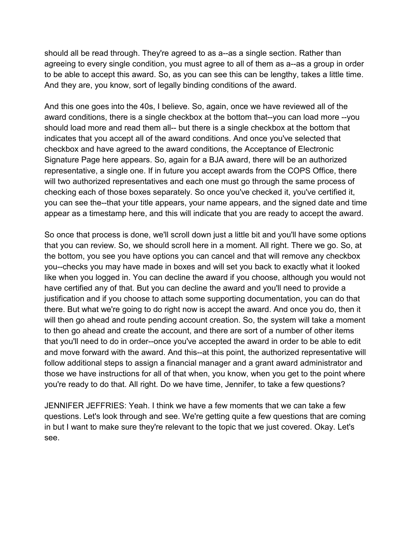should all be read through. They're agreed to as a--as a single section. Rather than agreeing to every single condition, you must agree to all of them as a--as a group in order to be able to accept this award. So, as you can see this can be lengthy, takes a little time. And they are, you know, sort of legally binding conditions of the award.

And this one goes into the 40s, I believe. So, again, once we have reviewed all of the award conditions, there is a single checkbox at the bottom that--you can load more --you should load more and read them all-- but there is a single checkbox at the bottom that indicates that you accept all of the award conditions. And once you've selected that checkbox and have agreed to the award conditions, the Acceptance of Electronic Signature Page here appears. So, again for a BJA award, there will be an authorized representative, a single one. If in future you accept awards from the COPS Office, there will two authorized representatives and each one must go through the same process of checking each of those boxes separately. So once you've checked it, you've certified it, you can see the--that your title appears, your name appears, and the signed date and time appear as a timestamp here, and this will indicate that you are ready to accept the award.

So once that process is done, we'll scroll down just a little bit and you'll have some options that you can review. So, we should scroll here in a moment. All right. There we go. So, at the bottom, you see you have options you can cancel and that will remove any checkbox you--checks you may have made in boxes and will set you back to exactly what it looked like when you logged in. You can decline the award if you choose, although you would not have certified any of that. But you can decline the award and you'll need to provide a justification and if you choose to attach some supporting documentation, you can do that there. But what we're going to do right now is accept the award. And once you do, then it will then go ahead and route pending account creation. So, the system will take a moment to then go ahead and create the account, and there are sort of a number of other items that you'll need to do in order--once you've accepted the award in order to be able to edit and move forward with the award. And this--at this point, the authorized representative will follow additional steps to assign a financial manager and a grant award administrator and those we have instructions for all of that when, you know, when you get to the point where you're ready to do that. All right. Do we have time, Jennifer, to take a few questions?

JENNIFER JEFFRIES: Yeah. I think we have a few moments that we can take a few questions. Let's look through and see. We're getting quite a few questions that are coming in but I want to make sure they're relevant to the topic that we just covered. Okay. Let's see.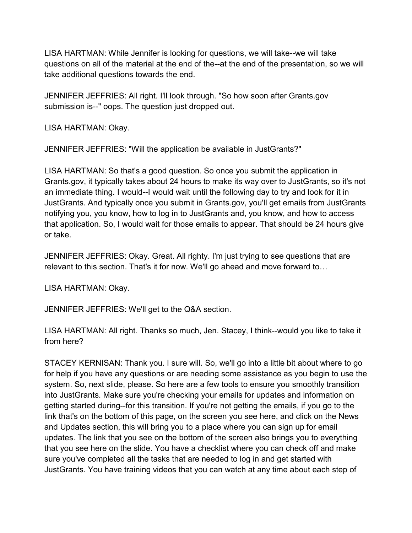LISA HARTMAN: While Jennifer is looking for questions, we will take--we will take questions on all of the material at the end of the--at the end of the presentation, so we will take additional questions towards the end.

JENNIFER JEFFRIES: All right. I'll look through. "So how soon after Grants.gov submission is--" oops. The question just dropped out.

LISA HARTMAN: Okay.

JENNIFER JEFFRIES: "Will the application be available in JustGrants?"

LISA HARTMAN: So that's a good question. So once you submit the application in Grants.gov, it typically takes about 24 hours to make its way over to JustGrants, so it's not an immediate thing. I would--I would wait until the following day to try and look for it in JustGrants. And typically once you submit in Grants.gov, you'll get emails from JustGrants notifying you, you know, how to log in to JustGrants and, you know, and how to access that application. So, I would wait for those emails to appear. That should be 24 hours give or take.

JENNIFER JEFFRIES: Okay. Great. All righty. I'm just trying to see questions that are relevant to this section. That's it for now. We'll go ahead and move forward to…

LISA HARTMAN: Okay.

JENNIFER JEFFRIES: We'll get to the Q&A section.

LISA HARTMAN: All right. Thanks so much, Jen. Stacey, I think--would you like to take it from here?

STACEY KERNISAN: Thank you. I sure will. So, we'll go into a little bit about where to go for help if you have any questions or are needing some assistance as you begin to use the system. So, next slide, please. So here are a few tools to ensure you smoothly transition into JustGrants. Make sure you're checking your emails for updates and information on getting started during--for this transition. If you're not getting the emails, if you go to the link that's on the bottom of this page, on the screen you see here, and click on the News and Updates section, this will bring you to a place where you can sign up for email updates. The link that you see on the bottom of the screen also brings you to everything that you see here on the slide. You have a checklist where you can check off and make sure you've completed all the tasks that are needed to log in and get started with JustGrants. You have training videos that you can watch at any time about each step of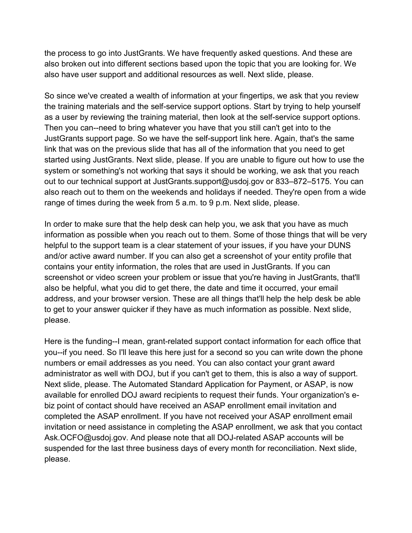the process to go into JustGrants. We have frequently asked questions. And these are also broken out into different sections based upon the topic that you are looking for. We also have user support and additional resources as well. Next slide, please.

So since we've created a wealth of information at your fingertips, we ask that you review the training materials and the self-service support options. Start by trying to help yourself as a user by reviewing the training material, then look at the self-service support options. Then you can--need to bring whatever you have that you still can't get into to the JustGrants support page. So we have the self-support link here. Again, that's the same link that was on the previous slide that has all of the information that you need to get started using JustGrants. Next slide, please. If you are unable to figure out how to use the system or something's not working that says it should be working, we ask that you reach out to our technical support at JustGrants.support@usdoj.gov or 833–872–5175. You can also reach out to them on the weekends and holidays if needed. They're open from a wide range of times during the week from 5 a.m. to 9 p.m. Next slide, please.

In order to make sure that the help desk can help you, we ask that you have as much information as possible when you reach out to them. Some of those things that will be very helpful to the support team is a clear statement of your issues, if you have your DUNS and/or active award number. If you can also get a screenshot of your entity profile that contains your entity information, the roles that are used in JustGrants. If you can screenshot or video screen your problem or issue that you're having in JustGrants, that'll also be helpful, what you did to get there, the date and time it occurred, your email address, and your browser version. These are all things that'll help the help desk be able to get to your answer quicker if they have as much information as possible. Next slide, please.

Here is the funding--I mean, grant-related support contact information for each office that you--if you need. So I'll leave this here just for a second so you can write down the phone numbers or email addresses as you need. You can also contact your grant award administrator as well with DOJ, but if you can't get to them, this is also a way of support. Next slide, please. The Automated Standard Application for Payment, or ASAP, is now available for enrolled DOJ award recipients to request their funds. Your organization's ebiz point of contact should have received an ASAP enrollment email invitation and completed the ASAP enrollment. If you have not received your ASAP enrollment email invitation or need assistance in completing the ASAP enrollment, we ask that you contact Ask.OCFO@usdoj.gov. And please note that all DOJ-related ASAP accounts will be suspended for the last three business days of every month for reconciliation. Next slide, please.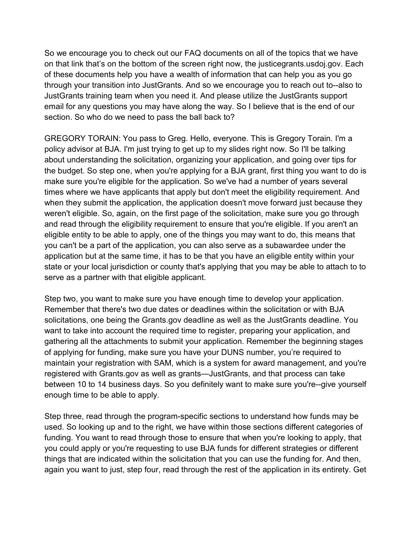So we encourage you to check out our FAQ documents on all of the topics that we have on that link that's on the bottom of the screen right now, the justicegrants.usdoj.gov. Each of these documents help you have a wealth of information that can help you as you go through your transition into JustGrants. And so we encourage you to reach out to--also to JustGrants training team when you need it. And please utilize the JustGrants support email for any questions you may have along the way. So I believe that is the end of our section. So who do we need to pass the ball back to?

GREGORY TORAIN: You pass to Greg. Hello, everyone. This is Gregory Torain. I'm a policy advisor at BJA. I'm just trying to get up to my slides right now. So I'll be talking about understanding the solicitation, organizing your application, and going over tips for the budget. So step one, when you're applying for a BJA grant, first thing you want to do is make sure you're eligible for the application. So we've had a number of years several times where we have applicants that apply but don't meet the eligibility requirement. And when they submit the application, the application doesn't move forward just because they weren't eligible. So, again, on the first page of the solicitation, make sure you go through and read through the eligibility requirement to ensure that you're eligible. If you aren't an eligible entity to be able to apply, one of the things you may want to do, this means that you can't be a part of the application, you can also serve as a subawardee under the application but at the same time, it has to be that you have an eligible entity within your state or your local jurisdiction or county that's applying that you may be able to attach to to serve as a partner with that eligible applicant.

Step two, you want to make sure you have enough time to develop your application. Remember that there's two due dates or deadlines within the solicitation or with BJA solicitations, one being the Grants.gov deadline as well as the JustGrants deadline. You want to take into account the required time to register, preparing your application, and gathering all the attachments to submit your application. Remember the beginning stages of applying for funding, make sure you have your DUNS number, you're required to maintain your registration with SAM, which is a system for award management, and you're registered with Grants.gov as well as grants—JustGrants, and that process can take between 10 to 14 business days. So you definitely want to make sure you're--give yourself enough time to be able to apply.

Step three, read through the program-specific sections to understand how funds may be used. So looking up and to the right, we have within those sections different categories of funding. You want to read through those to ensure that when you're looking to apply, that you could apply or you're requesting to use BJA funds for different strategies or different things that are indicated within the solicitation that you can use the funding for. And then, again you want to just, step four, read through the rest of the application in its entirety. Get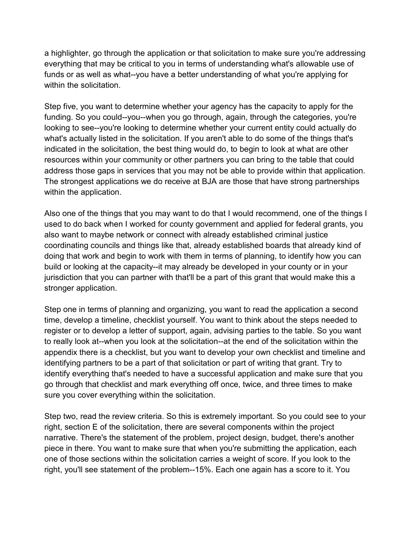a highlighter, go through the application or that solicitation to make sure you're addressing everything that may be critical to you in terms of understanding what's allowable use of funds or as well as what--you have a better understanding of what you're applying for within the solicitation.

Step five, you want to determine whether your agency has the capacity to apply for the funding. So you could--you--when you go through, again, through the categories, you're looking to see--you're looking to determine whether your current entity could actually do what's actually listed in the solicitation. If you aren't able to do some of the things that's indicated in the solicitation, the best thing would do, to begin to look at what are other resources within your community or other partners you can bring to the table that could address those gaps in services that you may not be able to provide within that application. The strongest applications we do receive at BJA are those that have strong partnerships within the application.

Also one of the things that you may want to do that I would recommend, one of the things I used to do back when I worked for county government and applied for federal grants, you also want to maybe network or connect with already established criminal justice coordinating councils and things like that, already established boards that already kind of doing that work and begin to work with them in terms of planning, to identify how you can build or looking at the capacity--it may already be developed in your county or in your jurisdiction that you can partner with that'll be a part of this grant that would make this a stronger application.

Step one in terms of planning and organizing, you want to read the application a second time, develop a timeline, checklist yourself. You want to think about the steps needed to register or to develop a letter of support, again, advising parties to the table. So you want to really look at--when you look at the solicitation--at the end of the solicitation within the appendix there is a checklist, but you want to develop your own checklist and timeline and identifying partners to be a part of that solicitation or part of writing that grant. Try to identify everything that's needed to have a successful application and make sure that you go through that checklist and mark everything off once, twice, and three times to make sure you cover everything within the solicitation.

Step two, read the review criteria. So this is extremely important. So you could see to your right, section E of the solicitation, there are several components within the project narrative. There's the statement of the problem, project design, budget, there's another piece in there. You want to make sure that when you're submitting the application, each one of those sections within the solicitation carries a weight of score. If you look to the right, you'll see statement of the problem--15%. Each one again has a score to it. You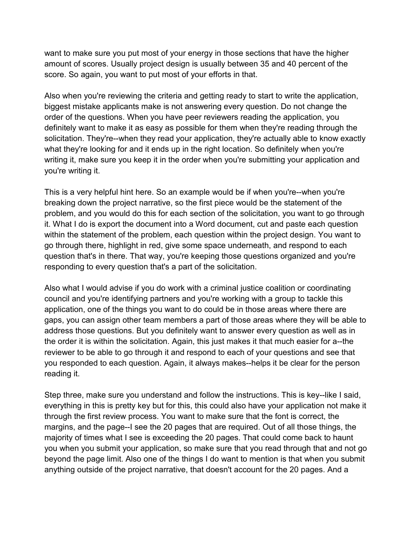want to make sure you put most of your energy in those sections that have the higher amount of scores. Usually project design is usually between 35 and 40 percent of the score. So again, you want to put most of your efforts in that.

Also when you're reviewing the criteria and getting ready to start to write the application, biggest mistake applicants make is not answering every question. Do not change the order of the questions. When you have peer reviewers reading the application, you definitely want to make it as easy as possible for them when they're reading through the solicitation. They're--when they read your application, they're actually able to know exactly what they're looking for and it ends up in the right location. So definitely when you're writing it, make sure you keep it in the order when you're submitting your application and you're writing it.

This is a very helpful hint here. So an example would be if when you're--when you're breaking down the project narrative, so the first piece would be the statement of the problem, and you would do this for each section of the solicitation, you want to go through it. What I do is export the document into a Word document, cut and paste each question within the statement of the problem, each question within the project design. You want to go through there, highlight in red, give some space underneath, and respond to each question that's in there. That way, you're keeping those questions organized and you're responding to every question that's a part of the solicitation.

Also what I would advise if you do work with a criminal justice coalition or coordinating council and you're identifying partners and you're working with a group to tackle this application, one of the things you want to do could be in those areas where there are gaps, you can assign other team members a part of those areas where they will be able to address those questions. But you definitely want to answer every question as well as in the order it is within the solicitation. Again, this just makes it that much easier for a--the reviewer to be able to go through it and respond to each of your questions and see that you responded to each question. Again, it always makes--helps it be clear for the person reading it.

Step three, make sure you understand and follow the instructions. This is key--like I said, everything in this is pretty key but for this, this could also have your application not make it through the first review process. You want to make sure that the font is correct, the margins, and the page--I see the 20 pages that are required. Out of all those things, the majority of times what I see is exceeding the 20 pages. That could come back to haunt you when you submit your application, so make sure that you read through that and not go beyond the page limit. Also one of the things I do want to mention is that when you submit anything outside of the project narrative, that doesn't account for the 20 pages. And a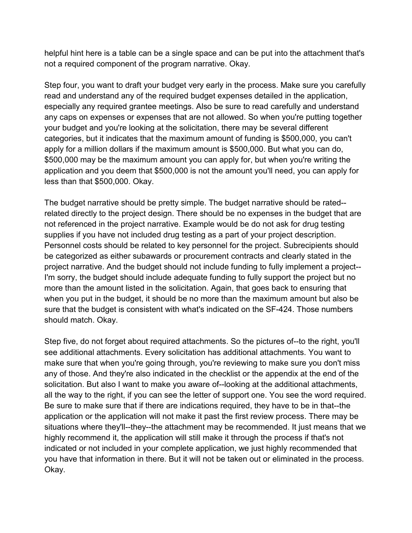helpful hint here is a table can be a single space and can be put into the attachment that's not a required component of the program narrative. Okay.

Step four, you want to draft your budget very early in the process. Make sure you carefully read and understand any of the required budget expenses detailed in the application, especially any required grantee meetings. Also be sure to read carefully and understand any caps on expenses or expenses that are not allowed. So when you're putting together your budget and you're looking at the solicitation, there may be several different categories, but it indicates that the maximum amount of funding is \$500,000, you can't apply for a million dollars if the maximum amount is \$500,000. But what you can do, \$500,000 may be the maximum amount you can apply for, but when you're writing the application and you deem that \$500,000 is not the amount you'll need, you can apply for less than that \$500,000. Okay.

The budget narrative should be pretty simple. The budget narrative should be rated- related directly to the project design. There should be no expenses in the budget that are not referenced in the project narrative. Example would be do not ask for drug testing supplies if you have not included drug testing as a part of your project description. Personnel costs should be related to key personnel for the project. Subrecipients should be categorized as either subawards or procurement contracts and clearly stated in the project narrative. And the budget should not include funding to fully implement a project-- I'm sorry, the budget should include adequate funding to fully support the project but no more than the amount listed in the solicitation. Again, that goes back to ensuring that when you put in the budget, it should be no more than the maximum amount but also be sure that the budget is consistent with what's indicated on the SF-424. Those numbers should match. Okay.

Step five, do not forget about required attachments. So the pictures of--to the right, you'll see additional attachments. Every solicitation has additional attachments. You want to make sure that when you're going through, you're reviewing to make sure you don't miss any of those. And they're also indicated in the checklist or the appendix at the end of the solicitation. But also I want to make you aware of--looking at the additional attachments, all the way to the right, if you can see the letter of support one. You see the word required. Be sure to make sure that if there are indications required, they have to be in that--the application or the application will not make it past the first review process. There may be situations where they'll--they--the attachment may be recommended. It just means that we highly recommend it, the application will still make it through the process if that's not indicated or not included in your complete application, we just highly recommended that you have that information in there. But it will not be taken out or eliminated in the process. Okay.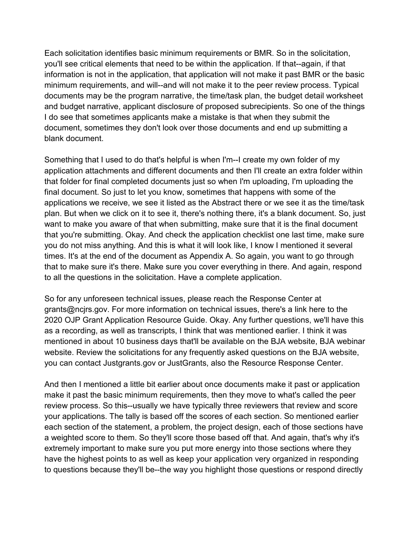Each solicitation identifies basic minimum requirements or BMR. So in the solicitation, you'll see critical elements that need to be within the application. If that--again, if that information is not in the application, that application will not make it past BMR or the basic minimum requirements, and will--and will not make it to the peer review process. Typical documents may be the program narrative, the time/task plan, the budget detail worksheet and budget narrative, applicant disclosure of proposed subrecipients. So one of the things I do see that sometimes applicants make a mistake is that when they submit the document, sometimes they don't look over those documents and end up submitting a blank document.

Something that I used to do that's helpful is when I'm--I create my own folder of my application attachments and different documents and then I'll create an extra folder within that folder for final completed documents just so when I'm uploading, I'm uploading the final document. So just to let you know, sometimes that happens with some of the applications we receive, we see it listed as the Abstract there or we see it as the time/task plan. But when we click on it to see it, there's nothing there, it's a blank document. So, just want to make you aware of that when submitting, make sure that it is the final document that you're submitting. Okay. And check the application checklist one last time, make sure you do not miss anything. And this is what it will look like, I know I mentioned it several times. It's at the end of the document as Appendix A. So again, you want to go through that to make sure it's there. Make sure you cover everything in there. And again, respond to all the questions in the solicitation. Have a complete application.

So for any unforeseen technical issues, please reach the Response Center at grants@ncjrs.gov. For more information on technical issues, there's a link here to the 2020 OJP Grant Application Resource Guide. Okay. Any further questions, we'll have this as a recording, as well as transcripts, I think that was mentioned earlier. I think it was mentioned in about 10 business days that'll be available on the BJA website, BJA webinar website. Review the solicitations for any frequently asked questions on the BJA website, you can contact Justgrants.gov or JustGrants, also the Resource Response Center.

And then I mentioned a little bit earlier about once documents make it past or application make it past the basic minimum requirements, then they move to what's called the peer review process. So this--usually we have typically three reviewers that review and score your applications. The tally is based off the scores of each section. So mentioned earlier each section of the statement, a problem, the project design, each of those sections have a weighted score to them. So they'll score those based off that. And again, that's why it's extremely important to make sure you put more energy into those sections where they have the highest points to as well as keep your application very organized in responding to questions because they'll be--the way you highlight those questions or respond directly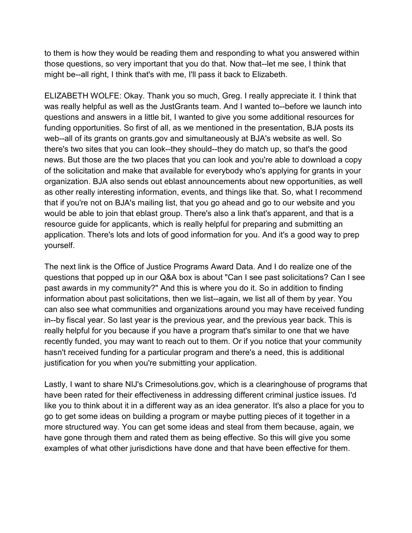to them is how they would be reading them and responding to what you answered within those questions, so very important that you do that. Now that--let me see, I think that might be--all right, I think that's with me, I'll pass it back to Elizabeth.

ELIZABETH WOLFE: Okay. Thank you so much, Greg. I really appreciate it. I think that was really helpful as well as the JustGrants team. And I wanted to--before we launch into questions and answers in a little bit, I wanted to give you some additional resources for funding opportunities. So first of all, as we mentioned in the presentation, BJA posts its web--all of its grants on grants.gov and simultaneously at BJA's website as well. So there's two sites that you can look--they should--they do match up, so that's the good news. But those are the two places that you can look and you're able to download a copy of the solicitation and make that available for everybody who's applying for grants in your organization. BJA also sends out eblast announcements about new opportunities, as well as other really interesting information, events, and things like that. So, what I recommend that if you're not on BJA's mailing list, that you go ahead and go to our website and you would be able to join that eblast group. There's also a link that's apparent, and that is a resource guide for applicants, which is really helpful for preparing and submitting an application. There's lots and lots of good information for you. And it's a good way to prep yourself.

The next link is the Office of Justice Programs Award Data. And I do realize one of the questions that popped up in our Q&A box is about "Can I see past solicitations? Can I see past awards in my community?" And this is where you do it. So in addition to finding information about past solicitations, then we list--again, we list all of them by year. You can also see what communities and organizations around you may have received funding in--by fiscal year. So last year is the previous year, and the previous year back. This is really helpful for you because if you have a program that's similar to one that we have recently funded, you may want to reach out to them. Or if you notice that your community hasn't received funding for a particular program and there's a need, this is additional justification for you when you're submitting your application.

Lastly, I want to share NIJ's Crimesolutions.gov, which is a clearinghouse of programs that have been rated for their effectiveness in addressing different criminal justice issues. I'd like you to think about it in a different way as an idea generator. It's also a place for you to go to get some ideas on building a program or maybe putting pieces of it together in a more structured way. You can get some ideas and steal from them because, again, we have gone through them and rated them as being effective. So this will give you some examples of what other jurisdictions have done and that have been effective for them.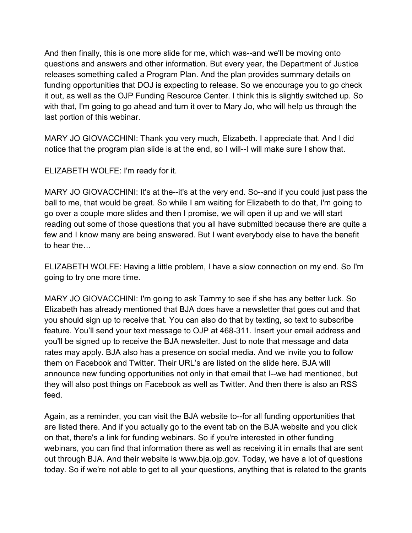And then finally, this is one more slide for me, which was--and we'll be moving onto questions and answers and other information. But every year, the Department of Justice releases something called a Program Plan. And the plan provides summary details on funding opportunities that DOJ is expecting to release. So we encourage you to go check it out, as well as the OJP Funding Resource Center. I think this is slightly switched up. So with that, I'm going to go ahead and turn it over to Mary Jo, who will help us through the last portion of this webinar.

MARY JO GIOVACCHINI: Thank you very much, Elizabeth. I appreciate that. And I did notice that the program plan slide is at the end, so I will--I will make sure I show that.

ELIZABETH WOLFE: I'm ready for it.

MARY JO GIOVACCHINI: It's at the--it's at the very end. So--and if you could just pass the ball to me, that would be great. So while I am waiting for Elizabeth to do that, I'm going to go over a couple more slides and then I promise, we will open it up and we will start reading out some of those questions that you all have submitted because there are quite a few and I know many are being answered. But I want everybody else to have the benefit to hear the…

ELIZABETH WOLFE: Having a little problem, I have a slow connection on my end. So I'm going to try one more time.

MARY JO GIOVACCHINI: I'm going to ask Tammy to see if she has any better luck. So Elizabeth has already mentioned that BJA does have a newsletter that goes out and that you should sign up to receive that. You can also do that by texting, so text to subscribe feature. You'll send your text message to OJP at 468-311. Insert your email address and you'll be signed up to receive the BJA newsletter. Just to note that message and data rates may apply. BJA also has a presence on social media. And we invite you to follow them on Facebook and Twitter. Their URL's are listed on the slide here. BJA will announce new funding opportunities not only in that email that I--we had mentioned, but they will also post things on Facebook as well as Twitter. And then there is also an RSS feed.

Again, as a reminder, you can visit the BJA website to--for all funding opportunities that are listed there. And if you actually go to the event tab on the BJA website and you click on that, there's a link for funding webinars. So if you're interested in other funding webinars, you can find that information there as well as receiving it in emails that are sent out through BJA. And their website is www.bja.ojp.gov. Today, we have a lot of questions today. So if we're not able to get to all your questions, anything that is related to the grants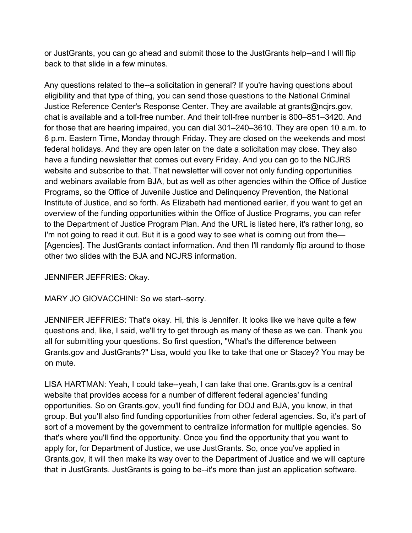or JustGrants, you can go ahead and submit those to the JustGrants help--and I will flip back to that slide in a few minutes.

Any questions related to the--a solicitation in general? If you're having questions about eligibility and that type of thing, you can send those questions to the National Criminal Justice Reference Center's Response Center. They are available at grants@ncjrs.gov, chat is available and a toll-free number. And their toll-free number is 800–851–3420. And for those that are hearing impaired, you can dial 301–240–3610. They are open 10 a.m. to 6 p.m. Eastern Time, Monday through Friday. They are closed on the weekends and most federal holidays. And they are open later on the date a solicitation may close. They also have a funding newsletter that comes out every Friday. And you can go to the NCJRS website and subscribe to that. That newsletter will cover not only funding opportunities and webinars available from BJA, but as well as other agencies within the Office of Justice Programs, so the Office of Juvenile Justice and Delinquency Prevention, the National Institute of Justice, and so forth. As Elizabeth had mentioned earlier, if you want to get an overview of the funding opportunities within the Office of Justice Programs, you can refer to the Department of Justice Program Plan. And the URL is listed here, it's rather long, so I'm not going to read it out. But it is a good way to see what is coming out from the-[Agencies]. The JustGrants contact information. And then I'll randomly flip around to those other two slides with the BJA and NCJRS information.

JENNIFER JEFFRIES: Okay.

MARY JO GIOVACCHINI: So we start--sorry.

JENNIFER JEFFRIES: That's okay. Hi, this is Jennifer. It looks like we have quite a few questions and, like, I said, we'll try to get through as many of these as we can. Thank you all for submitting your questions. So first question, "What's the difference between Grants.gov and JustGrants?" Lisa, would you like to take that one or Stacey? You may be on mute.

LISA HARTMAN: Yeah, I could take--yeah, I can take that one. Grants.gov is a central website that provides access for a number of different federal agencies' funding opportunities. So on Grants.gov, you'll find funding for DOJ and BJA, you know, in that group. But you'll also find funding opportunities from other federal agencies. So, it's part of sort of a movement by the government to centralize information for multiple agencies. So that's where you'll find the opportunity. Once you find the opportunity that you want to apply for, for Department of Justice, we use JustGrants. So, once you've applied in Grants.gov, it will then make its way over to the Department of Justice and we will capture that in JustGrants. JustGrants is going to be--it's more than just an application software.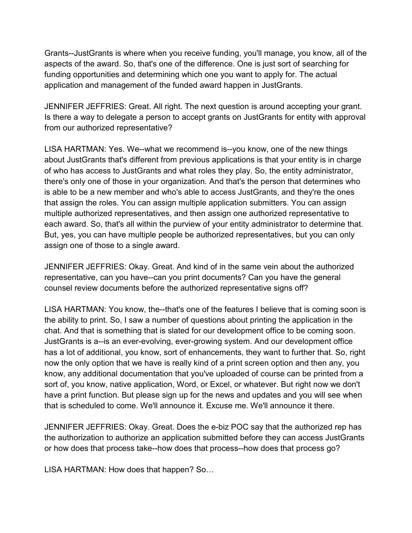Grants--JustGrants is where when you receive funding, you'll manage, you know, all of the aspects of the award. So, that's one of the difference. One is just sort of searching for funding opportunities and determining which one you want to apply for. The actual application and management of the funded award happen in JustGrants.

JENNIFER JEFFRIES: Great. All right. The next question is around accepting your grant. Is there a way to delegate a person to accept grants on JustGrants for entity with approval from our authorized representative?

LISA HARTMAN: Yes. We--what we recommend is--you know, one of the new things about JustGrants that's different from previous applications is that your entity is in charge of who has access to JustGrants and what roles they play. So, the entity administrator, there's only one of those in your organization. And that's the person that determines who is able to be a new member and who's able to access JustGrants, and they're the ones that assign the roles. You can assign multiple application submitters. You can assign multiple authorized representatives, and then assign one authorized representative to each award. So, that's all within the purview of your entity administrator to determine that. But, yes, you can have multiple people be authorized representatives, but you can only assign one of those to a single award.

JENNIFER JEFFRIES: Okay. Great. And kind of in the same vein about the authorized representative, can you have--can you print documents? Can you have the general counsel review documents before the authorized representative signs off?

LISA HARTMAN: You know, the--that's one of the features I believe that is coming soon is the ability to print. So, I saw a number of questions about printing the application in the chat. And that is something that is slated for our development office to be coming soon. JustGrants is a--is an ever-evolving, ever-growing system. And our development office has a lot of additional, you know, sort of enhancements, they want to further that. So, right now the only option that we have is really kind of a print screen option and then any, you know, any additional documentation that you've uploaded of course can be printed from a sort of, you know, native application, Word, or Excel, or whatever. But right now we don't have a print function. But please sign up for the news and updates and you will see when that is scheduled to come. We'll announce it. Excuse me. We'll announce it there.

JENNIFER JEFFRIES: Okay. Great. Does the e-biz POC say that the authorized rep has the authorization to authorize an application submitted before they can access JustGrants or how does that process take--how does that process--how does that process go?

LISA HARTMAN: How does that happen? So…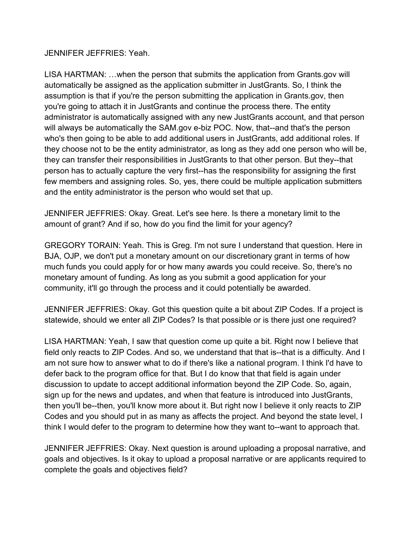JENNIFER JEFFRIES: Yeah.

LISA HARTMAN: …when the person that submits the application from Grants.gov will automatically be assigned as the application submitter in JustGrants. So, I think the assumption is that if you're the person submitting the application in Grants.gov, then you're going to attach it in JustGrants and continue the process there. The entity administrator is automatically assigned with any new JustGrants account, and that person will always be automatically the SAM.gov e-biz POC. Now, that--and that's the person who's then going to be able to add additional users in JustGrants, add additional roles. If they choose not to be the entity administrator, as long as they add one person who will be, they can transfer their responsibilities in JustGrants to that other person. But they--that person has to actually capture the very first--has the responsibility for assigning the first few members and assigning roles. So, yes, there could be multiple application submitters and the entity administrator is the person who would set that up.

JENNIFER JEFFRIES: Okay. Great. Let's see here. Is there a monetary limit to the amount of grant? And if so, how do you find the limit for your agency?

GREGORY TORAIN: Yeah. This is Greg. I'm not sure I understand that question. Here in BJA, OJP, we don't put a monetary amount on our discretionary grant in terms of how much funds you could apply for or how many awards you could receive. So, there's no monetary amount of funding. As long as you submit a good application for your community, it'll go through the process and it could potentially be awarded.

JENNIFER JEFFRIES: Okay. Got this question quite a bit about ZIP Codes. If a project is statewide, should we enter all ZIP Codes? Is that possible or is there just one required?

LISA HARTMAN: Yeah, I saw that question come up quite a bit. Right now I believe that field only reacts to ZIP Codes. And so, we understand that that is--that is a difficulty. And I am not sure how to answer what to do if there's like a national program. I think I'd have to defer back to the program office for that. But I do know that that field is again under discussion to update to accept additional information beyond the ZIP Code. So, again, sign up for the news and updates, and when that feature is introduced into JustGrants, then you'll be--then, you'll know more about it. But right now I believe it only reacts to ZIP Codes and you should put in as many as affects the project. And beyond the state level, I think I would defer to the program to determine how they want to--want to approach that.

JENNIFER JEFFRIES: Okay. Next question is around uploading a proposal narrative, and goals and objectives. Is it okay to upload a proposal narrative or are applicants required to complete the goals and objectives field?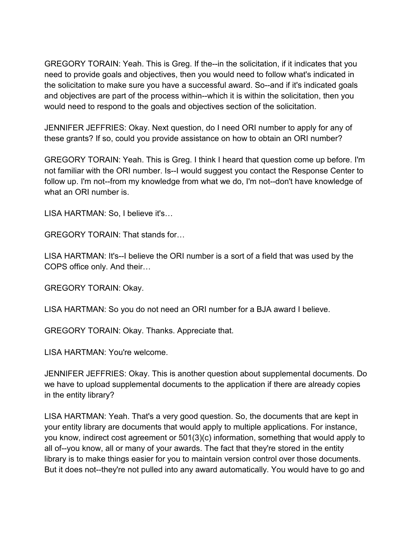GREGORY TORAIN: Yeah. This is Greg. If the--in the solicitation, if it indicates that you need to provide goals and objectives, then you would need to follow what's indicated in the solicitation to make sure you have a successful award. So--and if it's indicated goals and objectives are part of the process within--which it is within the solicitation, then you would need to respond to the goals and objectives section of the solicitation.

JENNIFER JEFFRIES: Okay. Next question, do I need ORI number to apply for any of these grants? If so, could you provide assistance on how to obtain an ORI number?

GREGORY TORAIN: Yeah. This is Greg. I think I heard that question come up before. I'm not familiar with the ORI number. Is--I would suggest you contact the Response Center to follow up. I'm not--from my knowledge from what we do, I'm not--don't have knowledge of what an ORI number is.

LISA HARTMAN: So, I believe it's…

GREGORY TORAIN: That stands for…

LISA HARTMAN: It's--I believe the ORI number is a sort of a field that was used by the COPS office only. And their…

GREGORY TORAIN: Okay.

LISA HARTMAN: So you do not need an ORI number for a BJA award I believe.

GREGORY TORAIN: Okay. Thanks. Appreciate that.

LISA HARTMAN: You're welcome.

JENNIFER JEFFRIES: Okay. This is another question about supplemental documents. Do we have to upload supplemental documents to the application if there are already copies in the entity library?

LISA HARTMAN: Yeah. That's a very good question. So, the documents that are kept in your entity library are documents that would apply to multiple applications. For instance, you know, indirect cost agreement or 501(3)(c) information, something that would apply to all of--you know, all or many of your awards. The fact that they're stored in the entity library is to make things easier for you to maintain version control over those documents. But it does not--they're not pulled into any award automatically. You would have to go and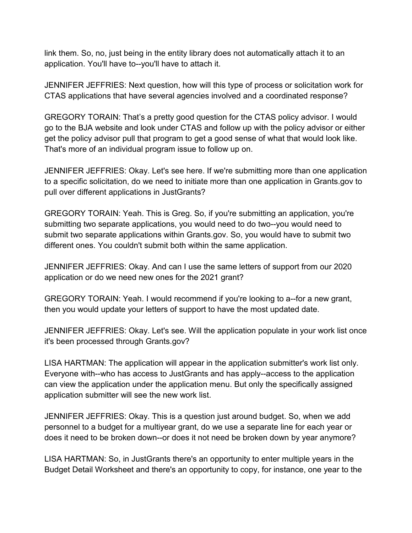link them. So, no, just being in the entity library does not automatically attach it to an application. You'll have to--you'll have to attach it.

JENNIFER JEFFRIES: Next question, how will this type of process or solicitation work for CTAS applications that have several agencies involved and a coordinated response?

GREGORY TORAIN: That's a pretty good question for the CTAS policy advisor. I would go to the BJA website and look under CTAS and follow up with the policy advisor or either get the policy advisor pull that program to get a good sense of what that would look like. That's more of an individual program issue to follow up on.

JENNIFER JEFFRIES: Okay. Let's see here. If we're submitting more than one application to a specific solicitation, do we need to initiate more than one application in Grants.gov to pull over different applications in JustGrants?

GREGORY TORAIN: Yeah. This is Greg. So, if you're submitting an application, you're submitting two separate applications, you would need to do two--you would need to submit two separate applications within Grants.gov. So, you would have to submit two different ones. You couldn't submit both within the same application.

JENNIFER JEFFRIES: Okay. And can I use the same letters of support from our 2020 application or do we need new ones for the 2021 grant?

GREGORY TORAIN: Yeah. I would recommend if you're looking to a--for a new grant, then you would update your letters of support to have the most updated date.

JENNIFER JEFFRIES: Okay. Let's see. Will the application populate in your work list once it's been processed through Grants.gov?

LISA HARTMAN: The application will appear in the application submitter's work list only. Everyone with--who has access to JustGrants and has apply--access to the application can view the application under the application menu. But only the specifically assigned application submitter will see the new work list.

JENNIFER JEFFRIES: Okay. This is a question just around budget. So, when we add personnel to a budget for a multiyear grant, do we use a separate line for each year or does it need to be broken down--or does it not need be broken down by year anymore?

LISA HARTMAN: So, in JustGrants there's an opportunity to enter multiple years in the Budget Detail Worksheet and there's an opportunity to copy, for instance, one year to the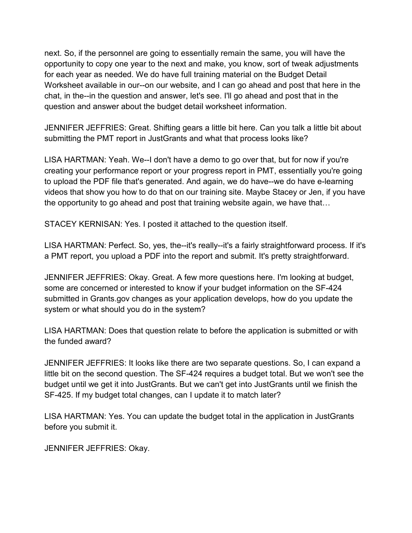next. So, if the personnel are going to essentially remain the same, you will have the opportunity to copy one year to the next and make, you know, sort of tweak adjustments for each year as needed. We do have full training material on the Budget Detail Worksheet available in our--on our website, and I can go ahead and post that here in the chat, in the--in the question and answer, let's see. I'll go ahead and post that in the question and answer about the budget detail worksheet information.

JENNIFER JEFFRIES: Great. Shifting gears a little bit here. Can you talk a little bit about submitting the PMT report in JustGrants and what that process looks like?

LISA HARTMAN: Yeah. We--I don't have a demo to go over that, but for now if you're creating your performance report or your progress report in PMT, essentially you're going to upload the PDF file that's generated. And again, we do have--we do have e-learning videos that show you how to do that on our training site. Maybe Stacey or Jen, if you have the opportunity to go ahead and post that training website again, we have that…

STACEY KERNISAN: Yes. I posted it attached to the question itself.

LISA HARTMAN: Perfect. So, yes, the--it's really--it's a fairly straightforward process. If it's a PMT report, you upload a PDF into the report and submit. It's pretty straightforward.

JENNIFER JEFFRIES: Okay. Great. A few more questions here. I'm looking at budget, some are concerned or interested to know if your budget information on the SF-424 submitted in Grants.gov changes as your application develops, how do you update the system or what should you do in the system?

LISA HARTMAN: Does that question relate to before the application is submitted or with the funded award?

JENNIFER JEFFRIES: It looks like there are two separate questions. So, I can expand a little bit on the second question. The SF-424 requires a budget total. But we won't see the budget until we get it into JustGrants. But we can't get into JustGrants until we finish the SF-425. If my budget total changes, can I update it to match later?

LISA HARTMAN: Yes. You can update the budget total in the application in JustGrants before you submit it.

JENNIFER JEFFRIES: Okay.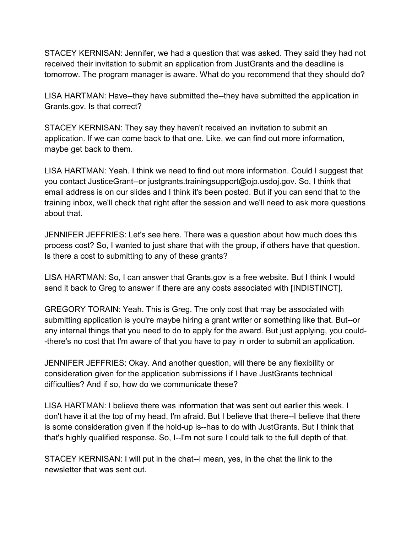STACEY KERNISAN: Jennifer, we had a question that was asked. They said they had not received their invitation to submit an application from JustGrants and the deadline is tomorrow. The program manager is aware. What do you recommend that they should do?

LISA HARTMAN: Have--they have submitted the--they have submitted the application in Grants.gov. Is that correct?

STACEY KERNISAN: They say they haven't received an invitation to submit an application. If we can come back to that one. Like, we can find out more information, maybe get back to them.

LISA HARTMAN: Yeah. I think we need to find out more information. Could I suggest that you contact JusticeGrant--or justgrants.trainingsupport@ojp.usdoj.gov. So, I think that email address is on our slides and I think it's been posted. But if you can send that to the training inbox, we'll check that right after the session and we'll need to ask more questions about that.

JENNIFER JEFFRIES: Let's see here. There was a question about how much does this process cost? So, I wanted to just share that with the group, if others have that question. Is there a cost to submitting to any of these grants?

LISA HARTMAN: So, I can answer that Grants.gov is a free website. But I think I would send it back to Greg to answer if there are any costs associated with [INDISTINCT].

GREGORY TORAIN: Yeah. This is Greg. The only cost that may be associated with submitting application is you're maybe hiring a grant writer or something like that. But--or any internal things that you need to do to apply for the award. But just applying, you could- -there's no cost that I'm aware of that you have to pay in order to submit an application.

JENNIFER JEFFRIES: Okay. And another question, will there be any flexibility or consideration given for the application submissions if I have JustGrants technical difficulties? And if so, how do we communicate these?

LISA HARTMAN: I believe there was information that was sent out earlier this week. I don't have it at the top of my head, I'm afraid. But I believe that there--I believe that there is some consideration given if the hold-up is--has to do with JustGrants. But I think that that's highly qualified response. So, I--I'm not sure I could talk to the full depth of that.

STACEY KERNISAN: I will put in the chat--I mean, yes, in the chat the link to the newsletter that was sent out.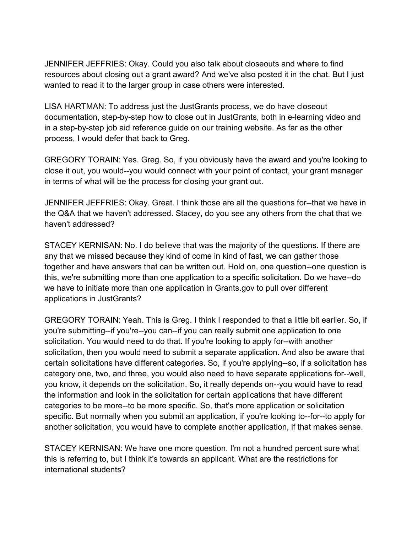JENNIFER JEFFRIES: Okay. Could you also talk about closeouts and where to find resources about closing out a grant award? And we've also posted it in the chat. But I just wanted to read it to the larger group in case others were interested.

LISA HARTMAN: To address just the JustGrants process, we do have closeout documentation, step-by-step how to close out in JustGrants, both in e-learning video and in a step-by-step job aid reference guide on our training website. As far as the other process, I would defer that back to Greg.

GREGORY TORAIN: Yes. Greg. So, if you obviously have the award and you're looking to close it out, you would--you would connect with your point of contact, your grant manager in terms of what will be the process for closing your grant out.

JENNIFER JEFFRIES: Okay. Great. I think those are all the questions for--that we have in the Q&A that we haven't addressed. Stacey, do you see any others from the chat that we haven't addressed?

STACEY KERNISAN: No. I do believe that was the majority of the questions. If there are any that we missed because they kind of come in kind of fast, we can gather those together and have answers that can be written out. Hold on, one question--one question is this, we're submitting more than one application to a specific solicitation. Do we have--do we have to initiate more than one application in Grants.gov to pull over different applications in JustGrants?

GREGORY TORAIN: Yeah. This is Greg. I think I responded to that a little bit earlier. So, if you're submitting--if you're--you can--if you can really submit one application to one solicitation. You would need to do that. If you're looking to apply for--with another solicitation, then you would need to submit a separate application. And also be aware that certain solicitations have different categories. So, if you're applying--so, if a solicitation has category one, two, and three, you would also need to have separate applications for--well, you know, it depends on the solicitation. So, it really depends on--you would have to read the information and look in the solicitation for certain applications that have different categories to be more--to be more specific. So, that's more application or solicitation specific. But normally when you submit an application, if you're looking to--for--to apply for another solicitation, you would have to complete another application, if that makes sense.

STACEY KERNISAN: We have one more question. I'm not a hundred percent sure what this is referring to, but I think it's towards an applicant. What are the restrictions for international students?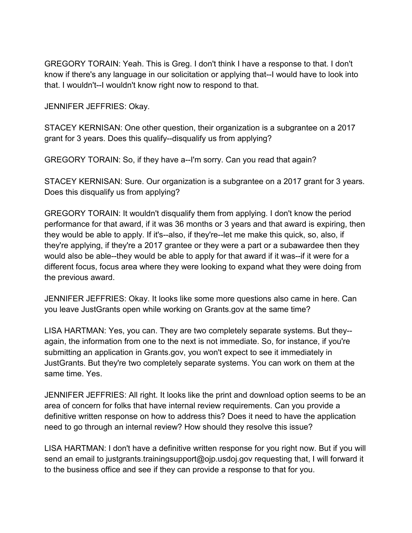GREGORY TORAIN: Yeah. This is Greg. I don't think I have a response to that. I don't know if there's any language in our solicitation or applying that--I would have to look into that. I wouldn't--I wouldn't know right now to respond to that.

JENNIFER JEFFRIES: Okay.

STACEY KERNISAN: One other question, their organization is a subgrantee on a 2017 grant for 3 years. Does this qualify--disqualify us from applying?

GREGORY TORAIN: So, if they have a--I'm sorry. Can you read that again?

STACEY KERNISAN: Sure. Our organization is a subgrantee on a 2017 grant for 3 years. Does this disqualify us from applying?

GREGORY TORAIN: It wouldn't disqualify them from applying. I don't know the period performance for that award, if it was 36 months or 3 years and that award is expiring, then they would be able to apply. If it's--also, if they're--let me make this quick, so, also, if they're applying, if they're a 2017 grantee or they were a part or a subawardee then they would also be able--they would be able to apply for that award if it was--if it were for a different focus, focus area where they were looking to expand what they were doing from the previous award.

JENNIFER JEFFRIES: Okay. It looks like some more questions also came in here. Can you leave JustGrants open while working on Grants.gov at the same time?

LISA HARTMAN: Yes, you can. They are two completely separate systems. But they- again, the information from one to the next is not immediate. So, for instance, if you're submitting an application in Grants.gov, you won't expect to see it immediately in JustGrants. But they're two completely separate systems. You can work on them at the same time. Yes.

JENNIFER JEFFRIES: All right. It looks like the print and download option seems to be an area of concern for folks that have internal review requirements. Can you provide a definitive written response on how to address this? Does it need to have the application need to go through an internal review? How should they resolve this issue?

LISA HARTMAN: I don't have a definitive written response for you right now. But if you will send an email to justgrants.trainingsupport@ojp.usdoj.gov requesting that, I will forward it to the business office and see if they can provide a response to that for you.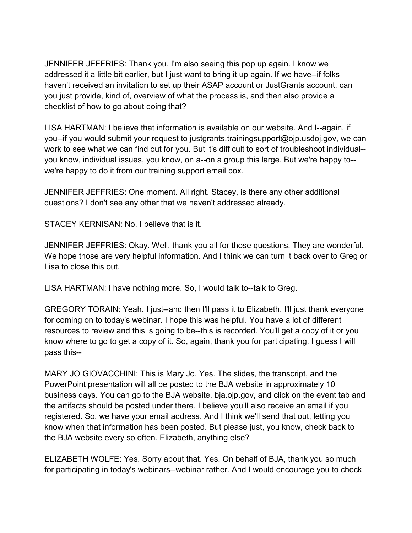JENNIFER JEFFRIES: Thank you. I'm also seeing this pop up again. I know we addressed it a little bit earlier, but I just want to bring it up again. If we have--if folks haven't received an invitation to set up their ASAP account or JustGrants account, can you just provide, kind of, overview of what the process is, and then also provide a checklist of how to go about doing that?

LISA HARTMAN: I believe that information is available on our website. And I--again, if you--if you would submit your request to justgrants.trainingsupport@ojp.usdoj.gov, we can work to see what we can find out for you. But it's difficult to sort of troubleshoot individual- you know, individual issues, you know, on a--on a group this large. But we're happy to- we're happy to do it from our training support email box.

JENNIFER JEFFRIES: One moment. All right. Stacey, is there any other additional questions? I don't see any other that we haven't addressed already.

STACEY KERNISAN: No. I believe that is it.

JENNIFER JEFFRIES: Okay. Well, thank you all for those questions. They are wonderful. We hope those are very helpful information. And I think we can turn it back over to Greg or Lisa to close this out.

LISA HARTMAN: I have nothing more. So, I would talk to--talk to Greg.

GREGORY TORAIN: Yeah. I just--and then I'll pass it to Elizabeth, I'll just thank everyone for coming on to today's webinar. I hope this was helpful. You have a lot of different resources to review and this is going to be--this is recorded. You'll get a copy of it or you know where to go to get a copy of it. So, again, thank you for participating. I guess I will pass this--

MARY JO GIOVACCHINI: This is Mary Jo. Yes. The slides, the transcript, and the PowerPoint presentation will all be posted to the BJA website in approximately 10 business days. You can go to the BJA website, bja.ojp.gov, and click on the event tab and the artifacts should be posted under there. I believe you'll also receive an email if you registered. So, we have your email address. And I think we'll send that out, letting you know when that information has been posted. But please just, you know, check back to the BJA website every so often. Elizabeth, anything else?

ELIZABETH WOLFE: Yes. Sorry about that. Yes. On behalf of BJA, thank you so much for participating in today's webinars--webinar rather. And I would encourage you to check